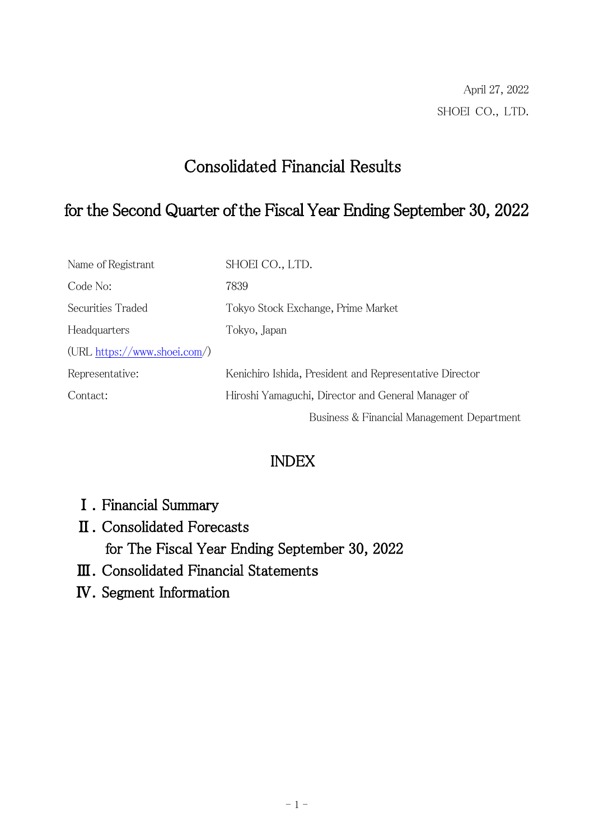# Consolidated Financial Results

## for the Second Quarter of the Fiscal Year Ending September 30, 2022

| Name of Registrant             | SHOEI CO., LTD.                                         |
|--------------------------------|---------------------------------------------------------|
| Code No:                       | 7839                                                    |
| Securities Traded              | Tokyo Stock Exchange, Prime Market                      |
| Headquarters                   | Tokyo, Japan                                            |
| $(URL https://www.shoei.com/)$ |                                                         |
| Representative:                | Kenichiro Ishida, President and Representative Director |
| Contact:                       | Hiroshi Yamaguchi, Director and General Manager of      |
|                                | Business & Financial Management Department              |

### INDEX

- Ⅰ.Financial Summary
- Ⅱ.Consolidated Forecasts for The Fiscal Year Ending September 30, 2022
- Ⅲ.Consolidated Financial Statements
- Ⅳ.Segment Information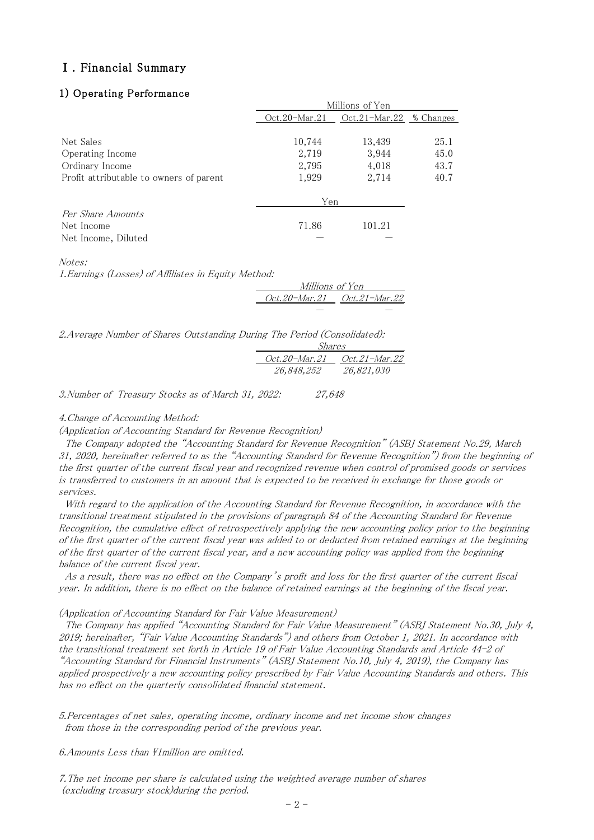#### Ⅰ.Financial Summary

#### 1) Operating Performance

|                                                        | Millions of Yen |                         |      |
|--------------------------------------------------------|-----------------|-------------------------|------|
|                                                        | $Oct.20-Mar.21$ | Oct.21-Mar.22 % Changes |      |
| Net Sales                                              | 10,744          | 13,439                  | 25.1 |
| Operating Income                                       | 2,719           | 3,944                   | 45.0 |
| Ordinary Income                                        | 2,795           | 4,018                   | 43.7 |
| Profit attributable to owners of parent                | 1,929           | 2,714                   | 40.7 |
|                                                        | Yen             |                         |      |
| Per Share Amounts<br>Net Income<br>Net Income, Diluted | 71.86           | 101.21                  |      |

Notes:

1.Earnings (Losses) of Affiliates in Equity Method:

 Millions of Yen Oct.20-Mar. Oct.21-Mar.22

-

-

2.Average Number of Shares Outstanding During The Period (Consolidated):

| Shares |                      |                      |  |
|--------|----------------------|----------------------|--|
|        | <i>Oct.20-Mar.21</i> | <i>Oct.21-Mar.22</i> |  |
|        | 26,848,252           | 26,821,030           |  |

3.Number of Treasury Stocks as of March 31, 2022: 27,648

#### 4.Change of Accounting Method:

(Application of Accounting Standard for Revenue Recognition)

 The Company adopted the "Accounting Standard for Revenue Recognition" (ASBJ Statement No.29, March 31, 2020, hereinafter referred to as the "Accounting Standard for Revenue Recognition") from the beginning of the first quarter of the current fiscal year and recognized revenue when control of promised goods or services is transferred to customers in an amount that is expected to be received in exchange for those goods or services.

 With regard to the application of the Accounting Standard for Revenue Recognition, in accordance with the transitional treatment stipulated in the provisions of paragraph 84 of the Accounting Standard for Revenue Recognition, the cumulative effect of retrospectively applying the new accounting policy prior to the beginning of the first quarter of the current fiscal year was added to or deducted from retained earnings at the beginning of the first quarter of the current fiscal year, and a new accounting policy was applied from the beginning balance of the current fiscal year.

 As a result, there was no effect on the Company's profit and loss for the first quarter of the current fiscal year. In addition, there is no effect on the balance of retained earnings at the beginning of the fiscal year.

#### (Application of Accounting Standard for Fair Value Measurement)

 The Company has applied "Accounting Standard for Fair Value Measurement" (ASBJ Statement No.30, July 4, 2019; hereinafter, "Fair Value Accounting Standards") and others from October 1, 2021. In accordance with the transitional treatment set forth in Article 19 of Fair Value Accounting Standards and Article 44-2 of "Accounting Standard for Financial Instruments" (ASBJ Statement No.10, July 4, 2019), the Company has applied prospectively a new accounting policy prescribed by Fair Value Accounting Standards and others. This has no effect on the quarterly consolidated financial statement.

5.Percentages of net sales, operating income, ordinary income and net income show changes from those in the corresponding period of the previous year.

6. Amounts Less than ¥1 million are omitted.

7.The net income per share is calculated using the weighted average number of shares (excluding treasury stock)during the period.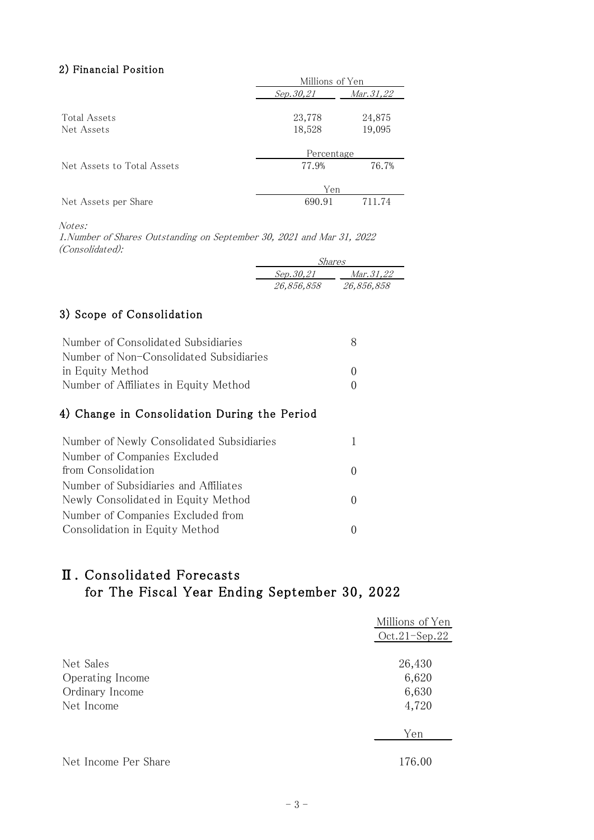#### 2) Financial Position

| Millions of Yen                |        |  |
|--------------------------------|--------|--|
| <i>Mar. 31,22</i><br>Sep.30,21 |        |  |
|                                |        |  |
| 23,778                         | 24,875 |  |
| 18,528                         | 19,095 |  |
|                                |        |  |
| Percentage                     |        |  |
| 77.9%                          | 76.7%  |  |
|                                |        |  |
| Yen                            |        |  |
| 690.91                         | 711.74 |  |
|                                |        |  |

Notes:

1.Number of Shares Outstanding on September 30, 2021 and Mar 31, 2022 (Consolidated):

| Shares     |            |  |  |
|------------|------------|--|--|
| Sep.30,21  | Mar.31,22  |  |  |
| 26,856,858 | 26,856,858 |  |  |

### 3) Scope of Consolidation

| Number of Consolidated Subsidiaries     |  |
|-----------------------------------------|--|
| Number of Non-Consolidated Subsidiaries |  |
| in Equity Method                        |  |
| Number of Affiliates in Equity Method   |  |

### 4) Change in Consolidation During the Period

| Number of Newly Consolidated Subsidiaries |  |
|-------------------------------------------|--|
| Number of Companies Excluded              |  |
| from Consolidation                        |  |
| Number of Subsidiaries and Affiliates     |  |
| Newly Consolidated in Equity Method       |  |
| Number of Companies Excluded from         |  |
| Consolidation in Equity Method            |  |

### Ⅱ.Consolidated Forecasts for The Fiscal Year Ending September 30, 2022

|                      | Millions of Yen |
|----------------------|-----------------|
|                      | $Oct.21-Sep.22$ |
|                      |                 |
| Net Sales            | 26,430          |
| Operating Income     | 6,620           |
| Ordinary Income      | 6,630           |
| Net Income           | 4,720           |
|                      | Yen             |
|                      |                 |
| Net Income Per Share | 176.00          |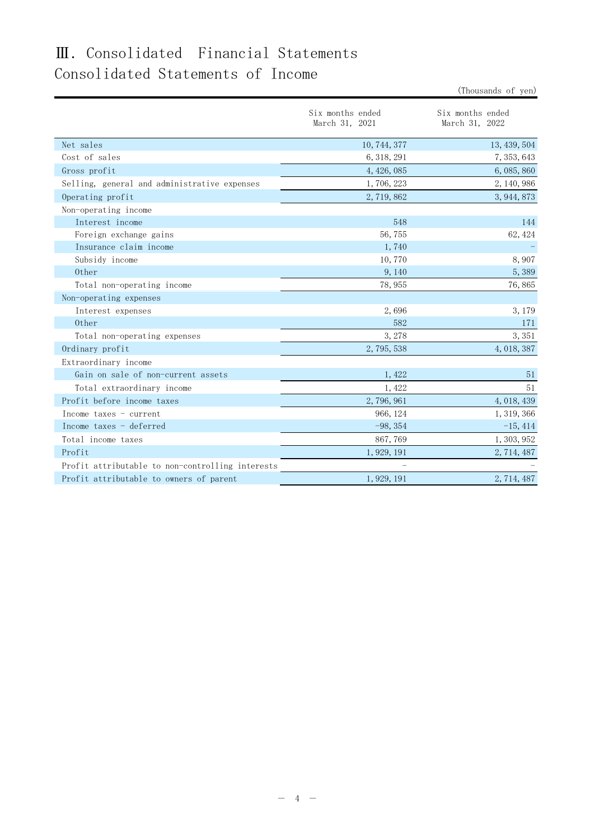## Ⅲ.Consolidated Financial Statements Consolidated Statements of Income

Six months ended March 31, 2021 Six months ended March 31, 2022 Net sales  $10,744,377$   $13,439,504$ Cost of sales 6,318,291 7,353,643 Gross profit 6,085,860 6,085,860 6,085,860 6,085,860 6,085,860 6,085,860 6,085,860 6,085,860 6,085,860 6,085,860 6,085,860 6,085,860 6,085,860 6,085,860 6,085,860 6,085,860 6,085,860 6,085,860 6,085,860 6,085,860 6,085,860 Selling, general and administrative expenses 1,706,223 2,140,986 Operating profit 3,944,873 3,944,873 Non-operating income Interest income 548 144 Foreign exchange gains 62,424 Insurance claim income  $1,740$  -Subsidy income 8,907 Other  $9,140$  5,389 Total non-operating income  $78,955$  76,865 Non-operating expenses Interest expenses 2,696 3,179 Other  $582$  171 Total non-operating expenses 3, 378 3, 378 3, 351 Ordinary profit 2,795,538 4,018,387 Extraordinary income Gain on sale of non-current assets  $1,422$  51 Total extraordinary income 51 Profit before income taxes 2,796,961 4,018,439 Income taxes – current 1,319,366 124 1,319,366 Income taxes - deferred  $-98,354$  -15,414 Total income taxes 1,303,952 Profit 1,929,191 2,714,487 Profit attributable to non-controlling interests  $-$ Profit attributable to owners of parent 1,929,191 2,714,487

(Thousands of yen)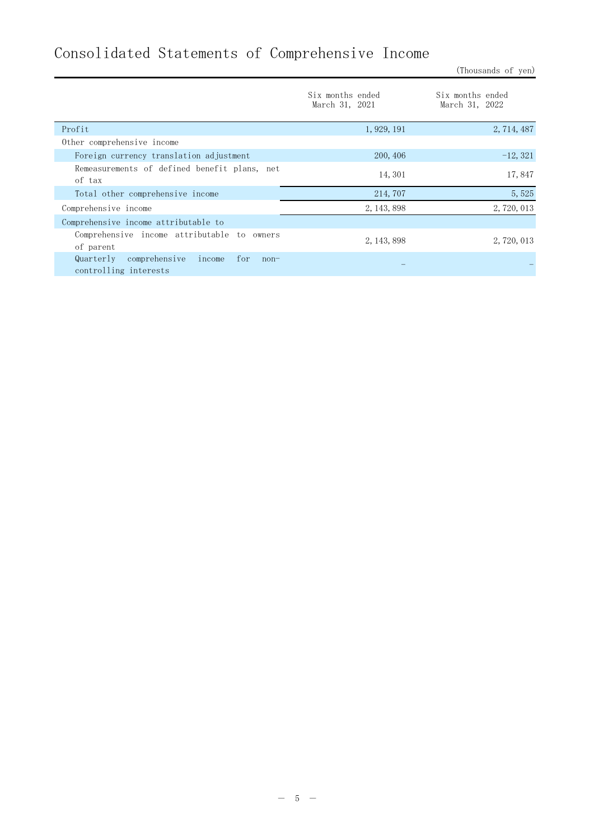# Consolidated Statements of Comprehensive Income

(Thousands of yen)

|                                                                                | Six months ended<br>March 31, 2021 | Six months ended<br>March 31, 2022 |
|--------------------------------------------------------------------------------|------------------------------------|------------------------------------|
| Profit                                                                         | 1, 929, 191                        | 2, 714, 487                        |
| Other comprehensive income                                                     |                                    |                                    |
| Foreign currency translation adjustment                                        | 200, 406                           | $-12, 321$                         |
| Remeasurements of defined benefit plans, net<br>of tax                         | 14, 301                            | 17,847                             |
| Total other comprehensive income                                               | 214, 707                           | 5,525                              |
| Comprehensive income                                                           | 2, 143, 898                        | 2, 720, 013                        |
| Comprehensive income attributable to                                           |                                    |                                    |
| Comprehensive income attributable to owners<br>of parent                       | 2, 143, 898                        | 2, 720, 013                        |
| comprehensive<br>Quarterly<br>income<br>for<br>$non-$<br>controlling interests |                                    |                                    |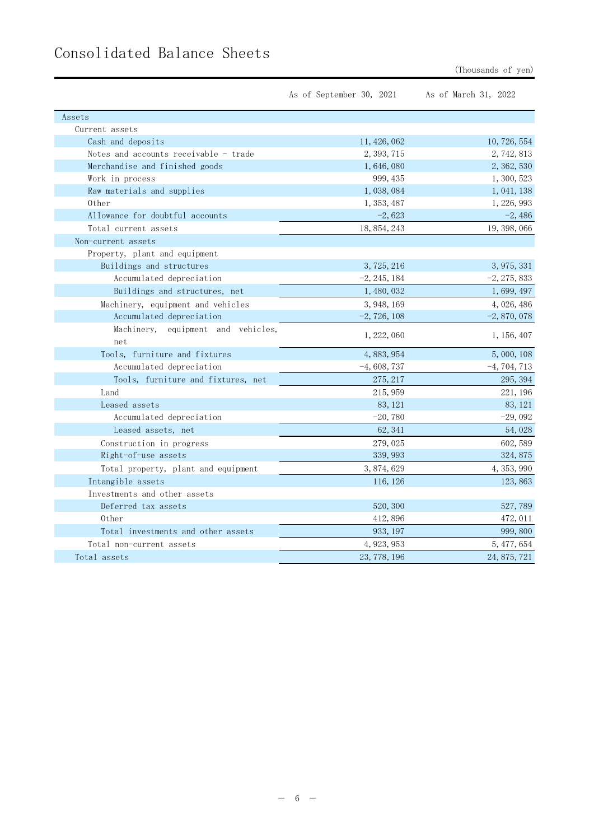|                                           | As of September 30, 2021 | As of March 31, 2022 |
|-------------------------------------------|--------------------------|----------------------|
| Assets                                    |                          |                      |
| Current assets                            |                          |                      |
| Cash and deposits                         | 11, 426, 062             | 10, 726, 554         |
| Notes and accounts receivable - trade     | 2, 393, 715              | 2, 742, 813          |
| Merchandise and finished goods            | 1,646,080                | 2, 362, 530          |
| Work in process                           | 999, 435                 | 1, 300, 523          |
| Raw materials and supplies                | 1,038,084                | 1, 041, 138          |
| 0ther                                     | 1, 353, 487              | 1, 226, 993          |
| Allowance for doubtful accounts           | $-2,623$                 | $-2,486$             |
| Total current assets                      | 18, 854, 243             | 19, 398, 066         |
| Non-current assets                        |                          |                      |
| Property, plant and equipment             |                          |                      |
| Buildings and structures                  | 3, 725, 216              | 3, 975, 331          |
| Accumulated depreciation                  | $-2, 245, 184$           | $-2, 275, 833$       |
| Buildings and structures, net             | 1, 480, 032              | 1,699,497            |
| Machinery, equipment and vehicles         | 3, 948, 169              | 4,026,486            |
| Accumulated depreciation                  | $-2, 726, 108$           | $-2,870,078$         |
| Machinery, equipment and vehicles,<br>net | 1, 222, 060              | 1, 156, 407          |
| Tools, furniture and fixtures             | 4, 883, 954              | 5,000,108            |
| Accumulated depreciation                  | $-4,608,737$             | $-4, 704, 713$       |
| Tools, furniture and fixtures, net        | 275, 217                 | 295, 394             |
| Land                                      | 215, 959                 | 221, 196             |
| Leased assets                             | 83, 121                  | 83, 121              |
| Accumulated depreciation                  | $-20,780$                | $-29,092$            |
| Leased assets, net                        | 62, 341                  | 54,028               |
| Construction in progress                  | 279, 025                 | 602, 589             |
| Right-of-use assets                       | 339, 993                 | 324, 875             |
| Total property, plant and equipment       | 3, 874, 629              | 4, 353, 990          |
| Intangible assets                         | 116, 126                 | 123,863              |
| Investments and other assets              |                          |                      |
| Deferred tax assets                       | 520, 300                 | 527,789              |
| 0ther                                     | 412,896                  | 472, 011             |
| Total investments and other assets        | 933, 197                 | 999, 800             |
| Total non-current assets                  | 4, 923, 953              | 5, 477, 654          |
| Total assets                              | 23, 778, 196             | 24, 875, 721         |

# Consolidated Balance Sheets

(Thousands of yen)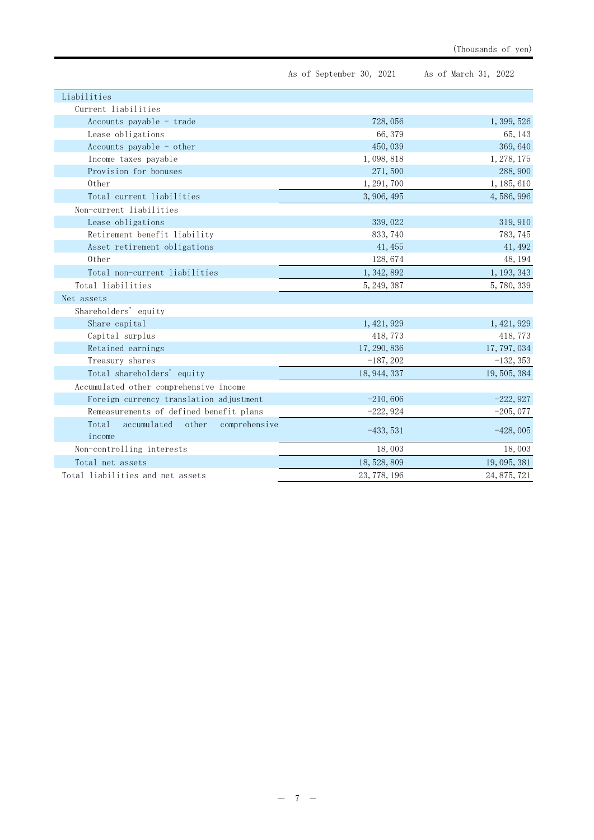|                                                          | As of September 30, 2021 | As of March 31, 2022 |
|----------------------------------------------------------|--------------------------|----------------------|
| Liabilities                                              |                          |                      |
| Current liabilities                                      |                          |                      |
| Accounts payable $-$ trade                               | 728,056                  | 1, 399, 526          |
| Lease obligations                                        | 66,379                   | 65, 143              |
| Accounts payable - other                                 | 450,039                  | 369, 640             |
| Income taxes payable                                     | 1,098,818                | 1, 278, 175          |
| Provision for bonuses                                    | 271,500                  | 288, 900             |
| 0ther                                                    | 1, 291, 700              | 1, 185, 610          |
| Total current liabilities                                | 3, 906, 495              | 4, 586, 996          |
| Non-current liabilities                                  |                          |                      |
| Lease obligations                                        | 339, 022                 | 319, 910             |
| Retirement benefit liability                             | 833, 740                 | 783, 745             |
| Asset retirement obligations                             | 41, 455                  | 41, 492              |
| 0ther                                                    | 128,674                  | 48, 194              |
| Total non-current liabilities                            | 1, 342, 892              | 1, 193, 343          |
| Total liabilities                                        | 5, 249, 387              | 5,780,339            |
| Net assets                                               |                          |                      |
| Shareholders' equity                                     |                          |                      |
| Share capital                                            | 1, 421, 929              | 1, 421, 929          |
| Capital surplus                                          | 418,773                  | 418, 773             |
| Retained earnings                                        | 17, 290, 836             | 17, 797, 034         |
| Treasury shares                                          | $-187, 202$              | $-132, 353$          |
| Total shareholders' equity                               | 18, 944, 337             | 19, 505, 384         |
| Accumulated other comprehensive income                   |                          |                      |
| Foreign currency translation adjustment                  | $-210,606$               | $-222,927$           |
| Remeasurements of defined benefit plans                  | $-222,924$               | $-205,077$           |
| Total<br>accumulated<br>other<br>comprehensive<br>income | $-433,531$               | $-428,005$           |
| Non-controlling interests                                | 18,003                   | 18,003               |
| Total net assets                                         | 18, 528, 809             | 19, 095, 381         |
| Total liabilities and net assets                         | 23, 778, 196             | 24, 875, 721         |